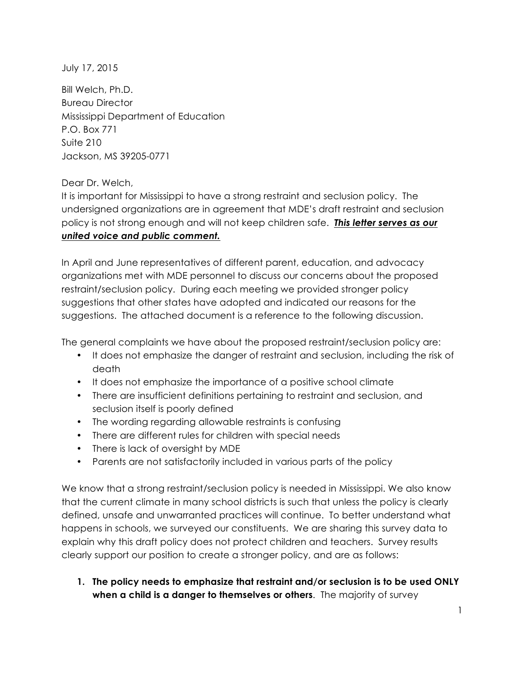July 17, 2015

Bill Welch, Ph.D. Bureau Director Mississippi Department of Education P.O. Box 771 Suite 210 Jackson, MS 39205-0771

Dear Dr. Welch,

It is important for Mississippi to have a strong restraint and seclusion policy. The undersigned organizations are in agreement that MDE's draft restraint and seclusion policy is not strong enough and will not keep children safe. *This letter serves as our united voice and public comment.*

In April and June representatives of different parent, education, and advocacy organizations met with MDE personnel to discuss our concerns about the proposed restraint/seclusion policy. During each meeting we provided stronger policy suggestions that other states have adopted and indicated our reasons for the suggestions. The attached document is a reference to the following discussion.

The general complaints we have about the proposed restraint/seclusion policy are:

- It does not emphasize the danger of restraint and seclusion, including the risk of death
- It does not emphasize the importance of a positive school climate
- There are insufficient definitions pertaining to restraint and seclusion, and seclusion itself is poorly defined
- The wording regarding allowable restraints is confusing
- There are different rules for children with special needs
- There is lack of oversight by MDE
- Parents are not satisfactorily included in various parts of the policy

We know that a strong restraint/seclusion policy is needed in Mississippi. We also know that the current climate in many school districts is such that unless the policy is clearly defined, unsafe and unwarranted practices will continue. To better understand what happens in schools, we surveyed our constituents. We are sharing this survey data to explain why this draft policy does not protect children and teachers. Survey results clearly support our position to create a stronger policy, and are as follows:

**1. The policy needs to emphasize that restraint and/or seclusion is to be used ONLY when a child is a danger to themselves or others**. The majority of survey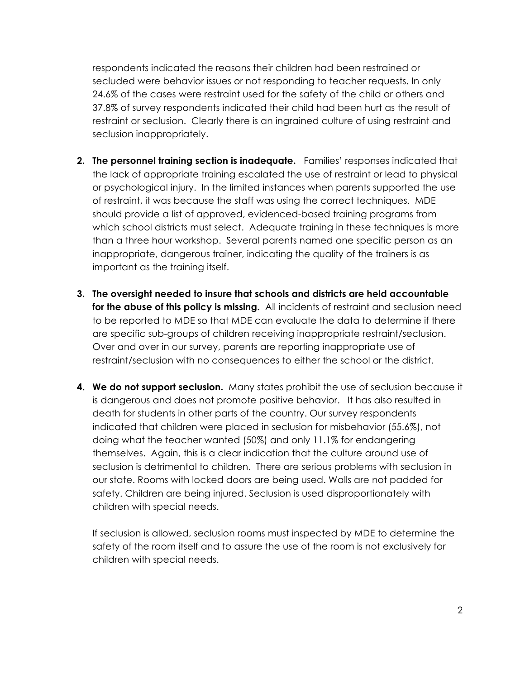respondents indicated the reasons their children had been restrained or secluded were behavior issues or not responding to teacher requests. In only 24.6% of the cases were restraint used for the safety of the child or others and 37.8% of survey respondents indicated their child had been hurt as the result of restraint or seclusion. Clearly there is an ingrained culture of using restraint and seclusion inappropriately.

- **2. The personnel training section is inadequate.** Families' responses indicated that the lack of appropriate training escalated the use of restraint or lead to physical or psychological injury. In the limited instances when parents supported the use of restraint, it was because the staff was using the correct techniques. MDE should provide a list of approved, evidenced-based training programs from which school districts must select. Adequate training in these techniques is more than a three hour workshop. Several parents named one specific person as an inappropriate, dangerous trainer, indicating the quality of the trainers is as important as the training itself.
- **3. The oversight needed to insure that schools and districts are held accountable for the abuse of this policy is missing.** All incidents of restraint and seclusion need to be reported to MDE so that MDE can evaluate the data to determine if there are specific sub-groups of children receiving inappropriate restraint/seclusion. Over and over in our survey, parents are reporting inappropriate use of restraint/seclusion with no consequences to either the school or the district.
- **4. We do not support seclusion.** Many states prohibit the use of seclusion because it is dangerous and does not promote positive behavior. It has also resulted in death for students in other parts of the country. Our survey respondents indicated that children were placed in seclusion for misbehavior (55.6%), not doing what the teacher wanted (50%) and only 11.1% for endangering themselves. Again, this is a clear indication that the culture around use of seclusion is detrimental to children. There are serious problems with seclusion in our state. Rooms with locked doors are being used. Walls are not padded for safety. Children are being injured. Seclusion is used disproportionately with children with special needs.

If seclusion is allowed, seclusion rooms must inspected by MDE to determine the safety of the room itself and to assure the use of the room is not exclusively for children with special needs.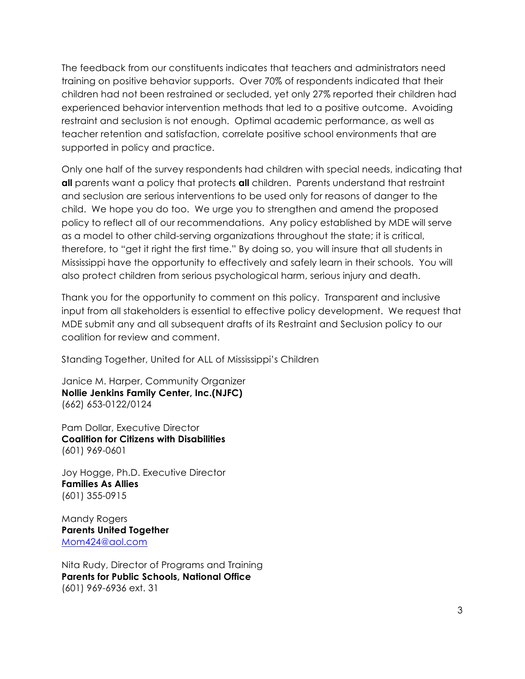The feedback from our constituents indicates that teachers and administrators need training on positive behavior supports. Over 70% of respondents indicated that their children had not been restrained or secluded, yet only 27% reported their children had experienced behavior intervention methods that led to a positive outcome. Avoiding restraint and seclusion is not enough. Optimal academic performance, as well as teacher retention and satisfaction, correlate positive school environments that are supported in policy and practice.

Only one half of the survey respondents had children with special needs, indicating that **all** parents want a policy that protects **all** children. Parents understand that restraint and seclusion are serious interventions to be used only for reasons of danger to the child. We hope you do too. We urge you to strengthen and amend the proposed policy to reflect all of our recommendations. Any policy established by MDE will serve as a model to other child-serving organizations throughout the state; it is critical, therefore, to "get it right the first time." By doing so, you will insure that all students in Mississippi have the opportunity to effectively and safely learn in their schools. You will also protect children from serious psychological harm, serious injury and death.

Thank you for the opportunity to comment on this policy. Transparent and inclusive input from all stakeholders is essential to effective policy development. We request that MDE submit any and all subsequent drafts of its Restraint and Seclusion policy to our coalition for review and comment.

Standing Together, United for ALL of Mississippi's Children

Janice M. Harper, Community Organizer **Nollie Jenkins Family Center, Inc.(NJFC)** (662) 653-0122/0124

Pam Dollar, Executive Director **Coalition for Citizens with Disabilities** (601) 969-0601

Joy Hogge, Ph.D. Executive Director **Families As Allies** (601) 355-0915

Mandy Rogers **Parents United Together** Mom424@aol.com

Nita Rudy, Director of Programs and Training **Parents for Public Schools, National Office** (601) 969-6936 ext. 31